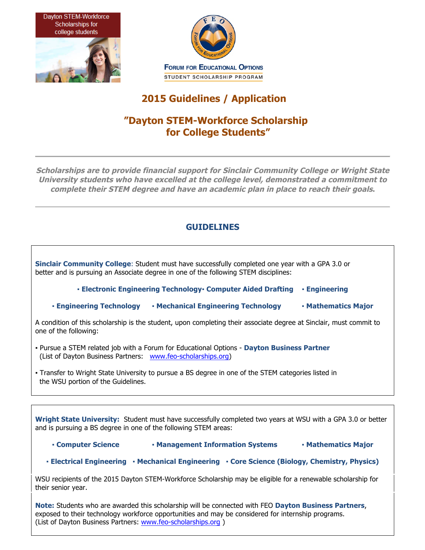



# **2015 Guidelines / Application**

# **"Dayton STEM-Workforce Scholarship for College Students"**

**Scholarships are to provide financial support for Sinclair Community College or Wright State University students who have excelled at the college level, demonstrated a commitment to complete their STEM degree and have an academic plan in place to reach their goals.**

### **GUIDELINES**

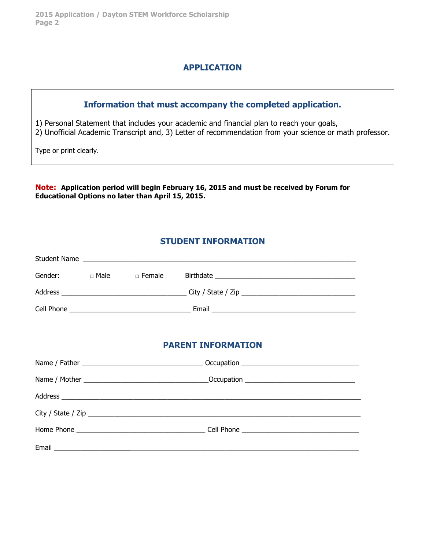### **APPLICATION**

# **Information that must accompany the completed application.** 1) Personal Statement that includes your academic and financial plan to reach your goals, 2) Unofficial Academic Transcript and, 3) Letter of recommendation from your science or math professor. Type or print clearly.

**Note: Application period will begin February 16, 2015 and must be received by Forum for Educational Options no later than April 15, 2015.**

## **STUDENT INFORMATION**

|  | Student Name                                     |  |
|--|--------------------------------------------------|--|
|  | Gender: Divide Divide Birthdate Dividend Bonder: |  |
|  |                                                  |  |
|  |                                                  |  |
|  |                                                  |  |
|  | <b>PARENT INFORMATION</b>                        |  |
|  |                                                  |  |
|  |                                                  |  |
|  |                                                  |  |
|  |                                                  |  |
|  |                                                  |  |
|  |                                                  |  |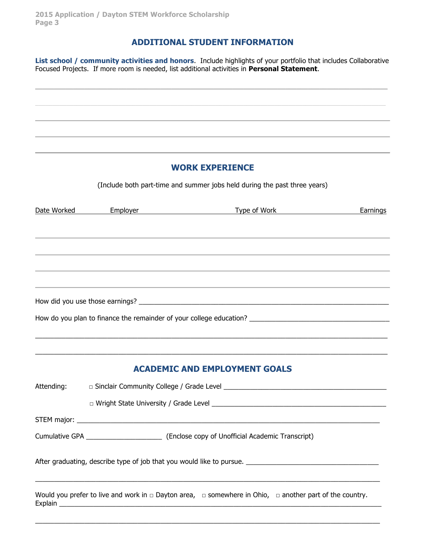#### **ADDITIONAL STUDENT INFORMATION**

**List school / community activities and honors**. Include highlights of your portfolio that includes Collaborative Focused Projects. If more room is needed, list additional activities in **Personal Statement**.

 $\_$  , and the state of the state of the state of the state of the state of the state of the state of the state of the state of the state of the state of the state of the state of the state of the state of the state of the

#### **WORK EXPERIENCE**

(Include both part-time and summer jobs held during the past three years)

| Date Worked | Employer and the control of the control of the control of the control of the control of the control of the control of the control of the control of the control of the control of the control of the control of the control of | Type of Work Earnings                                                                                                  |  |
|-------------|--------------------------------------------------------------------------------------------------------------------------------------------------------------------------------------------------------------------------------|------------------------------------------------------------------------------------------------------------------------|--|
|             |                                                                                                                                                                                                                                |                                                                                                                        |  |
|             |                                                                                                                                                                                                                                |                                                                                                                        |  |
|             |                                                                                                                                                                                                                                |                                                                                                                        |  |
|             |                                                                                                                                                                                                                                |                                                                                                                        |  |
|             |                                                                                                                                                                                                                                |                                                                                                                        |  |
|             |                                                                                                                                                                                                                                |                                                                                                                        |  |
|             |                                                                                                                                                                                                                                |                                                                                                                        |  |
|             |                                                                                                                                                                                                                                |                                                                                                                        |  |
|             |                                                                                                                                                                                                                                | <b>ACADEMIC AND EMPLOYMENT GOALS</b>                                                                                   |  |
| Attending:  |                                                                                                                                                                                                                                |                                                                                                                        |  |
|             |                                                                                                                                                                                                                                |                                                                                                                        |  |
|             |                                                                                                                                                                                                                                |                                                                                                                        |  |
|             |                                                                                                                                                                                                                                |                                                                                                                        |  |
|             |                                                                                                                                                                                                                                |                                                                                                                        |  |
|             |                                                                                                                                                                                                                                | Would you prefer to live and work in $\Box$ Dayton area, $\Box$ somewhere in Ohio, $\Box$ another part of the country. |  |
|             |                                                                                                                                                                                                                                |                                                                                                                        |  |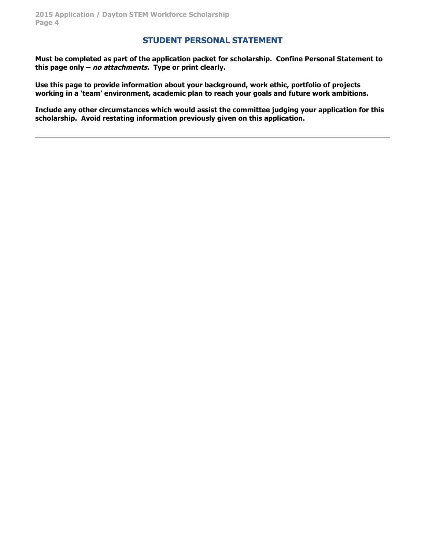#### **STUDENT PERSONAL STATEMENT**

**Must be completed as part of the application packet for scholarship. Confine Personal Statement to this page only – no attachments. Type or print clearly.**

**Use this page to provide information about your background, work ethic, portfolio of projects working in a 'team' environment, academic plan to reach your goals and future work ambitions.** 

**Include any other circumstances which would assist the committee judging your application for this scholarship. Avoid restating information previously given on this application.**